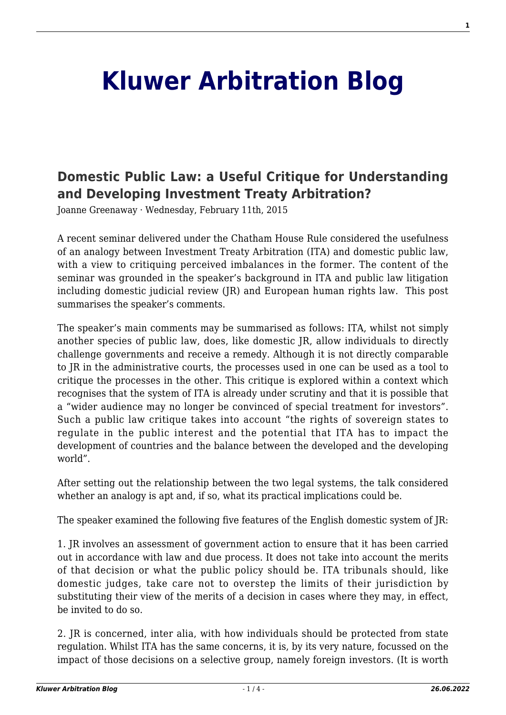## **[Kluwer Arbitration Blog](http://arbitrationblog.kluwerarbitration.com/)**

## **[Domestic Public Law: a Useful Critique for Understanding](http://arbitrationblog.kluwerarbitration.com/2015/02/11/domestic-public-law-a-useful-critique-for-understanding-and-developing-investment-treaty-arbitration/) [and Developing Investment Treaty Arbitration?](http://arbitrationblog.kluwerarbitration.com/2015/02/11/domestic-public-law-a-useful-critique-for-understanding-and-developing-investment-treaty-arbitration/)**

Joanne Greenaway · Wednesday, February 11th, 2015

A recent seminar delivered under the Chatham House Rule considered the usefulness of an analogy between Investment Treaty Arbitration (ITA) and domestic public law, with a view to critiquing perceived imbalances in the former. The content of the seminar was grounded in the speaker's background in ITA and public law litigation including domestic judicial review (JR) and European human rights law. This post summarises the speaker's comments.

The speaker's main comments may be summarised as follows: ITA, whilst not simply another species of public law, does, like domestic JR, allow individuals to directly challenge governments and receive a remedy. Although it is not directly comparable to JR in the administrative courts, the processes used in one can be used as a tool to critique the processes in the other. This critique is explored within a context which recognises that the system of ITA is already under scrutiny and that it is possible that a "wider audience may no longer be convinced of special treatment for investors". Such a public law critique takes into account "the rights of sovereign states to regulate in the public interest and the potential that ITA has to impact the development of countries and the balance between the developed and the developing world".

After setting out the relationship between the two legal systems, the talk considered whether an analogy is apt and, if so, what its practical implications could be.

The speaker examined the following five features of the English domestic system of JR:

1. JR involves an assessment of government action to ensure that it has been carried out in accordance with law and due process. It does not take into account the merits of that decision or what the public policy should be. ITA tribunals should, like domestic judges, take care not to overstep the limits of their jurisdiction by substituting their view of the merits of a decision in cases where they may, in effect, be invited to do so.

2. JR is concerned, inter alia, with how individuals should be protected from state regulation. Whilst ITA has the same concerns, it is, by its very nature, focussed on the impact of those decisions on a selective group, namely foreign investors. (It is worth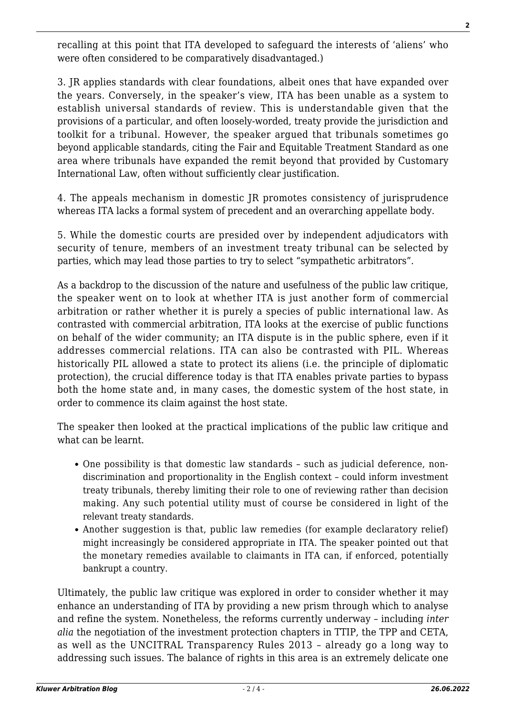recalling at this point that ITA developed to safeguard the interests of 'aliens' who were often considered to be comparatively disadvantaged.)

3. JR applies standards with clear foundations, albeit ones that have expanded over the years. Conversely, in the speaker's view, ITA has been unable as a system to establish universal standards of review. This is understandable given that the provisions of a particular, and often loosely-worded, treaty provide the jurisdiction and toolkit for a tribunal. However, the speaker argued that tribunals sometimes go beyond applicable standards, citing the Fair and Equitable Treatment Standard as one area where tribunals have expanded the remit beyond that provided by Customary International Law, often without sufficiently clear justification.

4. The appeals mechanism in domestic JR promotes consistency of jurisprudence whereas ITA lacks a formal system of precedent and an overarching appellate body.

5. While the domestic courts are presided over by independent adjudicators with security of tenure, members of an investment treaty tribunal can be selected by parties, which may lead those parties to try to select "sympathetic arbitrators".

As a backdrop to the discussion of the nature and usefulness of the public law critique, the speaker went on to look at whether ITA is just another form of commercial arbitration or rather whether it is purely a species of public international law. As contrasted with commercial arbitration, ITA looks at the exercise of public functions on behalf of the wider community; an ITA dispute is in the public sphere, even if it addresses commercial relations. ITA can also be contrasted with PIL. Whereas historically PIL allowed a state to protect its aliens (i.e. the principle of diplomatic protection), the crucial difference today is that ITA enables private parties to bypass both the home state and, in many cases, the domestic system of the host state, in order to commence its claim against the host state.

The speaker then looked at the practical implications of the public law critique and what can be learnt.

- One possibility is that domestic law standards such as judicial deference, nondiscrimination and proportionality in the English context – could inform investment treaty tribunals, thereby limiting their role to one of reviewing rather than decision making. Any such potential utility must of course be considered in light of the relevant treaty standards.
- Another suggestion is that, public law remedies (for example declaratory relief) might increasingly be considered appropriate in ITA. The speaker pointed out that the monetary remedies available to claimants in ITA can, if enforced, potentially bankrupt a country.

Ultimately, the public law critique was explored in order to consider whether it may enhance an understanding of ITA by providing a new prism through which to analyse and refine the system. Nonetheless, the reforms currently underway – including *inter alia* the negotiation of the investment protection chapters in TTIP, the TPP and CETA, as well as the UNCITRAL Transparency Rules 2013 – already go a long way to addressing such issues. The balance of rights in this area is an extremely delicate one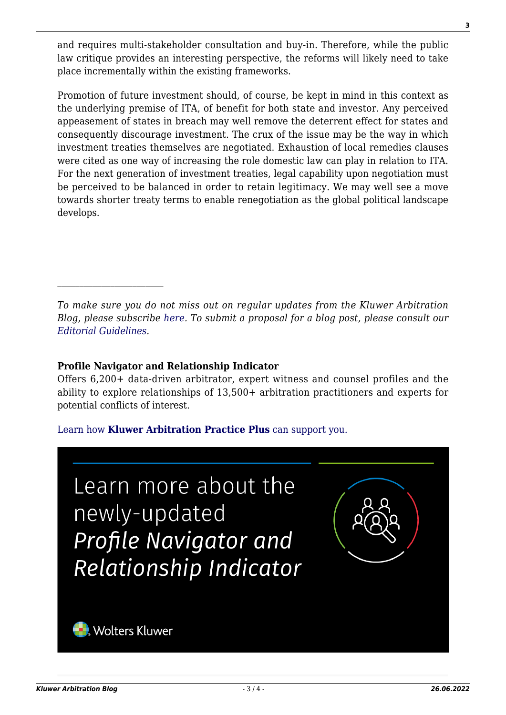and requires multi-stakeholder consultation and buy-in. Therefore, while the public law critique provides an interesting perspective, the reforms will likely need to take place incrementally within the existing frameworks.

Promotion of future investment should, of course, be kept in mind in this context as the underlying premise of ITA, of benefit for both state and investor. Any perceived appeasement of states in breach may well remove the deterrent effect for states and consequently discourage investment. The crux of the issue may be the way in which investment treaties themselves are negotiated. Exhaustion of local remedies clauses were cited as one way of increasing the role domestic law can play in relation to ITA. For the next generation of investment treaties, legal capability upon negotiation must be perceived to be balanced in order to retain legitimacy. We may well see a move towards shorter treaty terms to enable renegotiation as the global political landscape develops.

*To make sure you do not miss out on regular updates from the Kluwer Arbitration Blog, please subscribe [here](http://arbitrationblog.kluwerarbitration.com/newsletter/). To submit a proposal for a blog post, please consult our [Editorial Guidelines.](http://arbitrationblog.kluwerarbitration.com/editorial-guidelines/)*

## **Profile Navigator and Relationship Indicator**

Offers 6,200+ data-driven arbitrator, expert witness and counsel profiles and the ability to explore relationships of 13,500+ arbitration practitioners and experts for potential conflicts of interest.

## [Learn how](https://www.wolterskluwer.com/en/solutions/kluwerarbitration/practiceplus?utm_source=arbitrationblog&utm_medium=articleCTA&utm_campaign=article-banner) **[Kluwer Arbitration Practice Plus](https://www.wolterskluwer.com/en/solutions/kluwerarbitration/practiceplus?utm_source=arbitrationblog&utm_medium=articleCTA&utm_campaign=article-banner)** [can support you.](https://www.wolterskluwer.com/en/solutions/kluwerarbitration/practiceplus?utm_source=arbitrationblog&utm_medium=articleCTA&utm_campaign=article-banner)